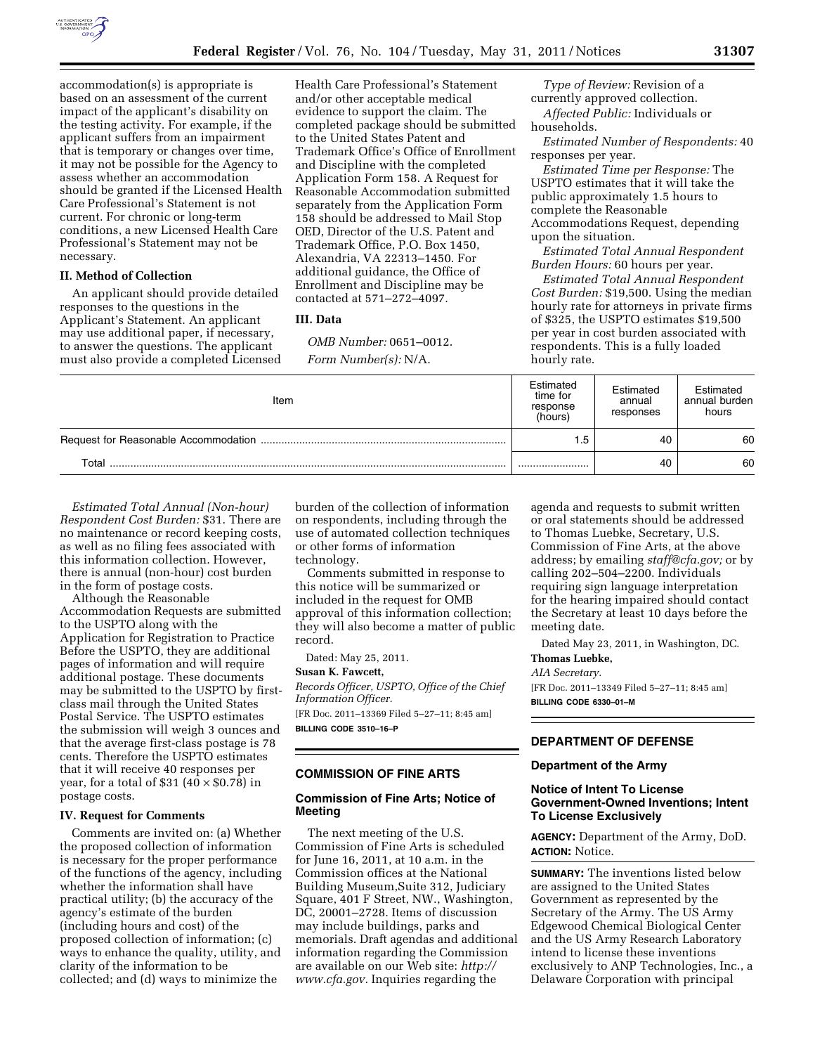

accommodation(s) is appropriate is based on an assessment of the current impact of the applicant's disability on the testing activity. For example, if the applicant suffers from an impairment that is temporary or changes over time, it may not be possible for the Agency to assess whether an accommodation should be granted if the Licensed Health Care Professional's Statement is not current. For chronic or long-term conditions, a new Licensed Health Care Professional's Statement may not be necessary.

## **II. Method of Collection**

An applicant should provide detailed responses to the questions in the Applicant's Statement. An applicant may use additional paper, if necessary, to answer the questions. The applicant must also provide a completed Licensed Health Care Professional's Statement and/or other acceptable medical evidence to support the claim. The completed package should be submitted to the United States Patent and Trademark Office's Office of Enrollment and Discipline with the completed Application Form 158. A Request for Reasonable Accommodation submitted separately from the Application Form 158 should be addressed to Mail Stop OED, Director of the U.S. Patent and Trademark Office, P.O. Box 1450, Alexandria, VA 22313–1450. For additional guidance, the Office of Enrollment and Discipline may be contacted at 571–272–4097.

#### **III. Data**

*OMB Number:* 0651–0012. *Form Number(s):* N/A.

*Type of Review:* Revision of a currently approved collection.

*Affected Public:* Individuals or households.

*Estimated Number of Respondents:* 40 responses per year.

*Estimated Time per Response:* The USPTO estimates that it will take the public approximately 1.5 hours to complete the Reasonable Accommodations Request, depending upon the situation.

*Estimated Total Annual Respondent Burden Hours:* 60 hours per year.

*Estimated Total Annual Respondent Cost Burden:* \$19,500. Using the median hourly rate for attorneys in private firms of \$325, the USPTO estimates \$19,500 per year in cost burden associated with respondents. This is a fully loaded hourly rate.

| Item        | Estimated<br>time for<br>response<br>(hours) | Estimated<br>annual<br>responses | Estimated<br>annual burden<br>hours |
|-------------|----------------------------------------------|----------------------------------|-------------------------------------|
|             | . .5                                         | 40                               | 60                                  |
| $\tau$ otal |                                              | 40                               | 60                                  |

*Estimated Total Annual (Non-hour) Respondent Cost Burden:* \$31. There are no maintenance or record keeping costs, as well as no filing fees associated with this information collection. However, there is annual (non-hour) cost burden in the form of postage costs.

Although the Reasonable Accommodation Requests are submitted to the USPTO along with the Application for Registration to Practice Before the USPTO, they are additional pages of information and will require additional postage. These documents may be submitted to the USPTO by firstclass mail through the United States Postal Service. The USPTO estimates the submission will weigh 3 ounces and that the average first-class postage is 78 cents. Therefore the USPTO estimates that it will receive 40 responses per year, for a total of \$31 ( $40 \times $0.78$ ) in postage costs.

#### **IV. Request for Comments**

Comments are invited on: (a) Whether the proposed collection of information is necessary for the proper performance of the functions of the agency, including whether the information shall have practical utility; (b) the accuracy of the agency's estimate of the burden (including hours and cost) of the proposed collection of information; (c) ways to enhance the quality, utility, and clarity of the information to be collected; and (d) ways to minimize the

burden of the collection of information on respondents, including through the use of automated collection techniques or other forms of information technology.

Comments submitted in response to this notice will be summarized or included in the request for OMB approval of this information collection; they will also become a matter of public record.

Dated: May 25, 2011.

# **Susan K. Fawcett,**

*Records Officer, USPTO, Office of the Chief Information Officer.* 

[FR Doc. 2011–13369 Filed 5–27–11; 8:45 am] **BILLING CODE 3510–16–P** 

## **COMMISSION OF FINE ARTS**

## **Commission of Fine Arts; Notice of Meeting**

The next meeting of the U.S. Commission of Fine Arts is scheduled for June 16, 2011, at 10 a.m. in the Commission offices at the National Building Museum,Suite 312, Judiciary Square, 401 F Street, NW., Washington, DC, 20001–2728. Items of discussion may include buildings, parks and memorials. Draft agendas and additional information regarding the Commission are available on our Web site: *[http://](http://www.cfa.gov)  [www.cfa.gov.](http://www.cfa.gov)* Inquiries regarding the

agenda and requests to submit written or oral statements should be addressed to Thomas Luebke, Secretary, U.S. Commission of Fine Arts, at the above address; by emailing *[staff@cfa.gov;](mailto:staff@cfa.gov)* or by calling 202–504–2200. Individuals requiring sign language interpretation for the hearing impaired should contact the Secretary at least 10 days before the meeting date.

Dated May 23, 2011, in Washington, DC. **Thomas Luebke,** 

# *AIA Secretary.*

[FR Doc. 2011–13349 Filed 5–27–11; 8:45 am] **BILLING CODE 6330–01–M** 

#### **DEPARTMENT OF DEFENSE**

#### **Department of the Army**

# **Notice of Intent To License Government-Owned Inventions; Intent To License Exclusively**

**AGENCY:** Department of the Army, DoD. **ACTION:** Notice.

**SUMMARY:** The inventions listed below are assigned to the United States Government as represented by the Secretary of the Army. The US Army Edgewood Chemical Biological Center and the US Army Research Laboratory intend to license these inventions exclusively to ANP Technologies, Inc., a Delaware Corporation with principal